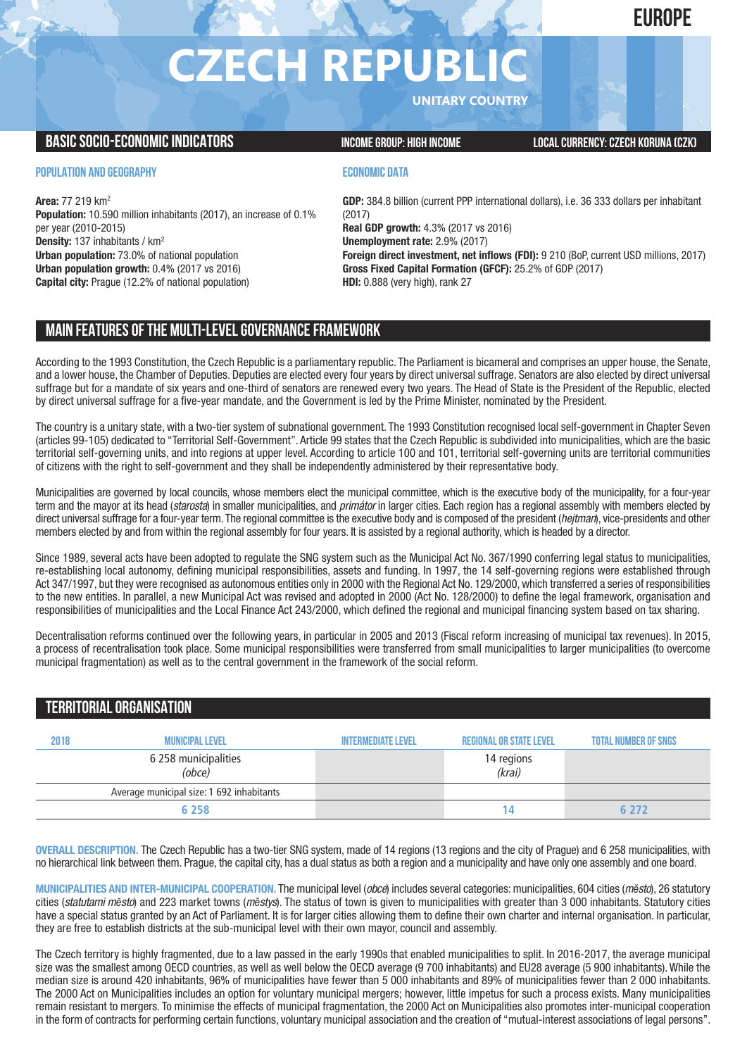## **EUROPE**

# **CZECH REPUBL**

**UNITARY COUNTRY**

#### **BASICSOCIO-ECONOMICINDICATORS INCOMEGROUP: HIGH INCOME LOCALCURRENCY:CZECH KORUNA (CZK)**

#### **POPULATION AND GEOGRAPHY**

**Area:** 77 219 km2 **Population:** 10.590 million inhabitants (2017), an increase of 0.1% per year (2010-2015) **Density:** 137 inhabitants / km2 **Urban population:** 73.0% of national population **Urban population growth:** 0.4% (2017 vs 2016) **Capital city:** Prague (12.2% of national population)

#### **ECONOMIC DATA**

**GDP:** 384.8 billion (current PPP international dollars), i.e. 36 333 dollars per inhabitant (2017) **Real GDP growth:** 4.3% (2017 vs 2016) **Unemployment rate:** 2.9% (2017) **Foreign direct investment, net inflows (FDI):** 9 210 (BoP, current USD millions, 2017) **Gross Fixed Capital Formation (GFCF):** 25.2% of GDP (2017) **HDI:** 0.888 (very high), rank 27

### **MAIN FEATURESOFTHE MULTI-LEVELGOVERNANCEFRAMEWORK**

According to the 1993 Constitution, the Czech Republic is a parliamentary republic. The Parliament is bicameral and comprises an upper house, the Senate, and a lower house, the Chamber of Deputies. Deputies are elected every four years by direct universal suffrage. Senators are also elected by direct universal suffrage but for a mandate of six years and one-third of senators are renewed every two years. The Head of State is the President of the Republic, elected by direct universal suffrage for a five-year mandate, and the Government is led by the Prime Minister, nominated by the President.

The country is a unitary state, with a two-tier system of subnational government. The 1993 Constitution recognised local self-government in Chapter Seven (articles 99-105) dedicated to "Territorial Self-Government". Article 99 states that the Czech Republic is subdivided into municipalities, which are the basic territorial self-governing units, and into regions at upper level. According to article 100 and 101, territorial self-governing units are territorial communities of citizens with the right to self-government and they shall be independently administered by their representative body.

Municipalities are governed by local councils, whose members elect the municipal committee, which is the executive body of the municipality, for a four-year term and the mayor at its head (*starosta*) in smaller municipalities, and *primátor* in larger cities. Each region has a regional assembly with members elected by direct universal suffrage for a four-year term.The regional committee is the executive body and is composed of the president (*hejtman*), vice-presidents and other members elected by and from within the regional assembly for four years. It is assisted by a regional authority, which is headed by a director.

Since 1989, several acts have been adopted to regulate the SNG system such as the Municipal Act No. 367/1990 conferring legal status to municipalities, re-establishing local autonomy, defining municipal responsibilities, assets and funding. In 1997, the 14 self-governing regions were established through Act 347/1997, but they were recognised as autonomous entities only in 2000 with the Regional Act No. 129/2000, which transferred a series of responsibilities to the new entities. In parallel, a new Municipal Act was revised and adopted in 2000 (Act No. 128/2000) to define the legal framework, organisation and responsibilities of municipalities and the Local Finance Act 243/2000, which defined the regional and municipal financing system based on tax sharing.

Decentralisation reforms continued over the following years, in particular in 2005 and 2013 (Fiscal reform increasing of municipal tax revenues). In 2015, a process of recentralisation took place. Some municipal responsibilities were transferred from small municipalities to larger municipalities (to overcome municipal fragmentation) as well as to the central government in the framework of the social reform.

#### **TERRITORIALORGANISATION**

| 2018 | <b>MUNICIPAL LEVEL</b>                    | <b>INTERMEDIATE LEVEL</b> | <b>REGIONAL OR STATE LEVEL</b> | <b>TOTAL NUMBER OF SNGS</b> |
|------|-------------------------------------------|---------------------------|--------------------------------|-----------------------------|
|      | 6 258 municipalities<br>(obce)            |                           | 14 regions<br>(krai)           |                             |
|      | Average municipal size: 1 692 inhabitants |                           |                                |                             |
|      | 6 2 5 8                                   |                           | 14                             | 6 ን7ን                       |

**OVERALL DESCRIPTION.** The Czech Republic has a two-tier SNG system, made of 14 regions (13 regions and the city of Prague) and 6 258 municipalities, with no hierarchical link between them. Prague, the capital city, has a dual status as both a region and a municipality and have only one assembly and one board.

**MUNICIPALITIES AND INTER-MUNICIPAL COOPERATION.** The municipal level (*obce*) includes several categories: municipalities, 604 cities (*mĕsto*), 26 statutory cities (*statutarni mĕsto*) and 223 market towns (*mĕstys*). The status of town is given to municipalities with greater than 3 000 inhabitants. Statutory cities have a special status granted by an Act of Parliament. It is for larger cities allowing them to define their own charter and internal organisation. In particular, they are free to establish districts at the sub-municipal level with their own mayor, council and assembly.

The Czech territory is highly fragmented, due to a law passed in the early 1990s that enabled municipalities to split. In 2016-2017, the average municipal size was the smallest among OECD countries, as well as well below the OECD average (9 700 inhabitants) and EU28 average (5 900 inhabitants).While the median size is around 420 inhabitants, 96% of municipalities have fewer than 5 000 inhabitants and 89% of municipalities fewer than 2 000 inhabitants. The 2000 Act on Municipalities includes an option for voluntary municipal mergers; however, little impetus for such a process exists. Many municipalities remain resistant to mergers. To minimise the effects of municipal fragmentation, the 2000 Act on Municipalities also promotes inter-municipal cooperation in the form of contracts for performing certain functions, voluntary municipal association and the creation of "mutual-interest associations of legal persons".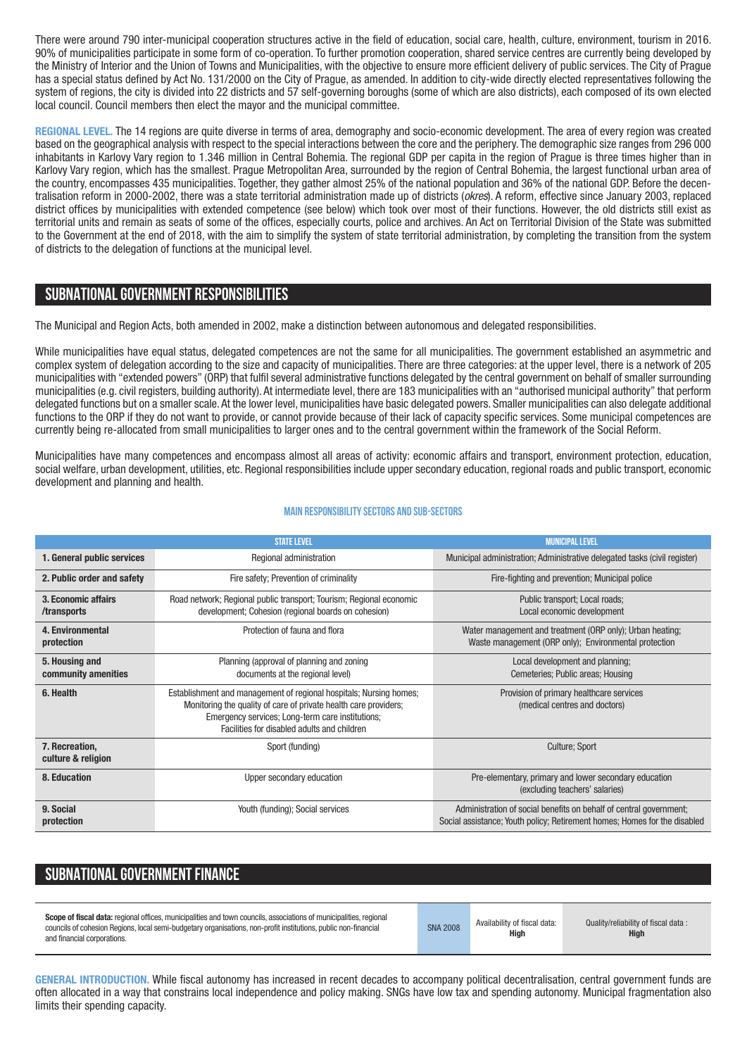There were around 790 inter-municipal cooperation structures active in the field of education, social care, health, culture, environment, tourism in 2016. 90% of municipalities participate in some form of co-operation. To further promotion cooperation, shared service centres are currently being developed by the Ministry of Interior and the Union of Towns and Municipalities, with the objective to ensure more efficient delivery of public services. The City of Prague has a special status defined by Act No. 131/2000 on the City of Prague, as amended. In addition to city-wide directly elected representatives following the system of regions, the city is divided into 22 districts and 57 self-governing boroughs (some of which are also districts), each composed of its own elected local council. Council members then elect the mayor and the municipal committee.

**REGIONAL LEVEL.** The 14 regions are quite diverse in terms of area, demography and socio-economic development. The area of every region was created based on the geographical analysis with respect to the special interactions between the core and the periphery. The demographic size ranges from 296 000 inhabitants in Karlovy Vary region to 1.346 million in Central Bohemia. The regional GDP per capita in the region of Prague is three times higher than in Karlovy Vary region, which has the smallest. Prague Metropolitan Area, surrounded by the region of Central Bohemia, the largest functional urban area of the country, encompasses 435 municipalities. Together, they gather almost 25% of the national population and 36% of the national GDP. Before the decentralisation reform in 2000-2002, there was a state territorial administration made up of districts (*okres*). A reform, effective since January 2003, replaced district offices by municipalities with extended competence (see below) which took over most of their functions. However, the old districts still exist as territorial units and remain as seats of some of the offices, especially courts, police and archives. An Act on Territorial Division of the State was submitted to the Government at the end of 2018, with the aim to simplify the system of state territorial administration, by completing the transition from the system of districts to the delegation of functions at the municipal level.

#### **SUBNATIONALGOVERNMENT RESPONSIBILITIES**

The Municipal and Region Acts, both amended in 2002, make a distinction between autonomous and delegated responsibilities.

While municipalities have equal status, delegated competences are not the same for all municipalities. The government established an asymmetric and complex system of delegation according to the size and capacity of municipalities. There are three categories: at the upper level, there is a network of 205 municipalities with "extended powers" (ORP) that fulfil several administrative functions delegated by the central government on behalf of smaller surrounding municipalities (e.g. civil registers, building authority). At intermediate level, there are 183 municipalities with an "authorised municipal authority" that perform delegated functions but on a smaller scale. At the lower level, municipalities have basic delegated powers. Smaller municipalities can also delegate additional functions to the ORP if they do not want to provide, or cannot provide because of their lack of capacity specific services. Some municipal competences are currently being re-allocated from small municipalities to larger ones and to the central government within the framework of the Social Reform.

Municipalities have many competences and encompass almost all areas of activity: economic affairs and transport, environment protection, education, social welfare, urban development, utilities, etc. Regional responsibilities include upper secondary education, regional roads and public transport, economic development and planning and health.

|                                       | <b>STATE LEVEL</b>                                                                                                                                                                                                                        | <b>MUNICIPAL LEVEL</b>                                                                                                                          |
|---------------------------------------|-------------------------------------------------------------------------------------------------------------------------------------------------------------------------------------------------------------------------------------------|-------------------------------------------------------------------------------------------------------------------------------------------------|
| 1. General public services            | Regional administration                                                                                                                                                                                                                   | Municipal administration; Administrative delegated tasks (civil register)                                                                       |
| 2. Public order and safety            | Fire safety; Prevention of criminality                                                                                                                                                                                                    | Fire-fighting and prevention; Municipal police                                                                                                  |
| 3. Economic affairs<br>/transports    | Road network; Regional public transport; Tourism; Regional economic<br>development; Cohesion (regional boards on cohesion)                                                                                                                | Public transport; Local roads;<br>Local economic development                                                                                    |
| 4. Environmental<br>protection        | Protection of fauna and flora                                                                                                                                                                                                             | Water management and treatment (ORP only); Urban heating;<br>Waste management (ORP only); Environmental protection                              |
| 5. Housing and<br>community amenities | Planning (approval of planning and zoning<br>documents at the regional level)                                                                                                                                                             | Local development and planning;<br>Cemeteries; Public areas; Housing                                                                            |
| 6. Health                             | Establishment and management of regional hospitals; Nursing homes;<br>Monitoring the quality of care of private health care providers;<br>Emergency services; Long-term care institutions;<br>Facilities for disabled adults and children | Provision of primary healthcare services<br>(medical centres and doctors)                                                                       |
| 7. Recreation,<br>culture & religion  | Sport (funding)                                                                                                                                                                                                                           | Culture; Sport                                                                                                                                  |
| 8. Education                          | Upper secondary education                                                                                                                                                                                                                 | Pre-elementary, primary and lower secondary education<br>(excluding teachers' salaries)                                                         |
| 9. Social<br>protection               | Youth (funding); Social services                                                                                                                                                                                                          | Administration of social benefits on behalf of central government;<br>Social assistance; Youth policy; Retirement homes; Homes for the disabled |

#### **Main responsibilitysectors and sub-sectors**

## SUBNATIONAL GOVERNMENT FINANCE

| Scope of fiscal data: regional offices, municipalities and town councils, associations of municipalities, regional<br>councils of cohesion Regions, local semi-budgetary organisations, non-profit institutions, public non-financial<br>and financial corporations. | <b>SNA 2008</b> | Availability of fiscal data:<br>High | Quality/reliability of fiscal data:<br><b>High</b> |
|----------------------------------------------------------------------------------------------------------------------------------------------------------------------------------------------------------------------------------------------------------------------|-----------------|--------------------------------------|----------------------------------------------------|
|----------------------------------------------------------------------------------------------------------------------------------------------------------------------------------------------------------------------------------------------------------------------|-----------------|--------------------------------------|----------------------------------------------------|

**GENERAL INTRODUCTION.** While fiscal autonomy has increased in recent decades to accompany political decentralisation, central government funds are often allocated in a way that constrains local independence and policy making. SNGs have low tax and spending autonomy. Municipal fragmentation also limits their spending capacity.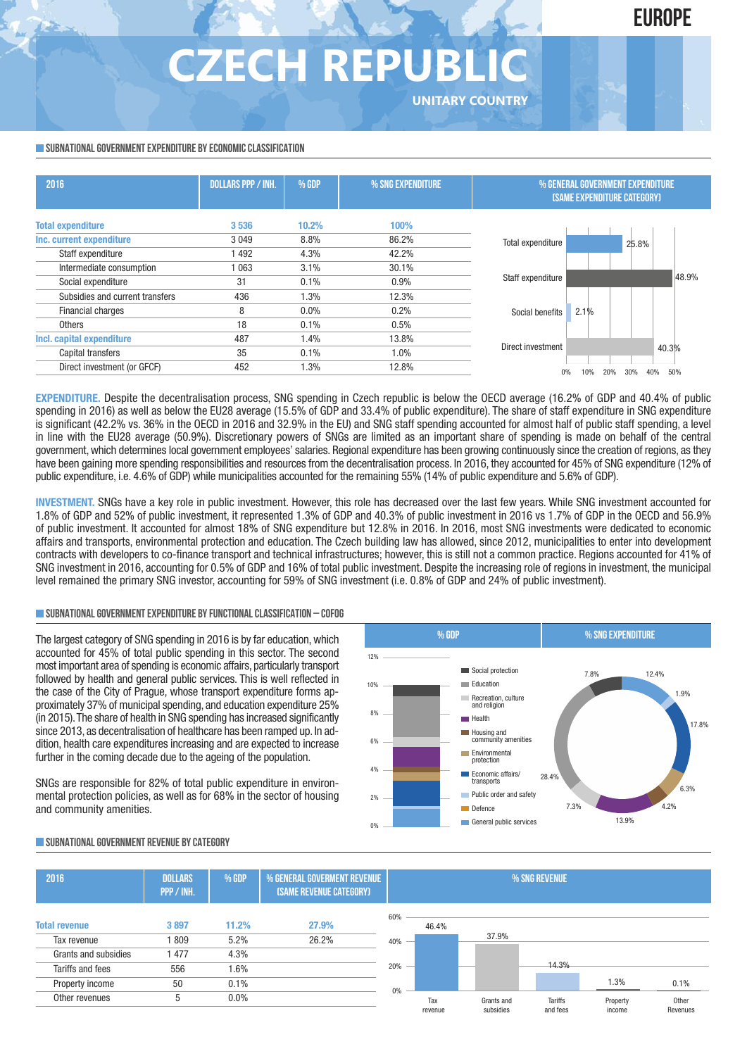## **EUROPE**

## **CZECH REPUBI UNITARY COUNTRY**

#### **SUBNATIONAL GOVERNMENT EXPENDITURE BY ECONOMIC CLASSIFICATION**

| 2016                            | <b>DOLLARS PPP / INH.</b> | % GDP | % SNG EXPENDITURE | % GENERAL GOVERNMENT EXPENDITURE<br><b>(SAME EXPENDITURE CATEGORY)</b> |                   |  |
|---------------------------------|---------------------------|-------|-------------------|------------------------------------------------------------------------|-------------------|--|
| <b>Total expenditure</b>        | 3536                      | 10.2% | 100%              |                                                                        |                   |  |
| Inc. current expenditure        | 3049                      | 8.8%  | 86.2%             | Total expenditure                                                      | 25.8%             |  |
| Staff expenditure               | 1492                      | 4.3%  | 42.2%             |                                                                        |                   |  |
| Intermediate consumption        | 1 0 6 3                   | 3.1%  | 30.1%             |                                                                        |                   |  |
| Social expenditure              | 31                        | 0.1%  | 0.9%              | Staff expenditure                                                      | 48.9%             |  |
| Subsidies and current transfers | 436                       | 1.3%  | 12.3%             |                                                                        |                   |  |
| Financial charges               | 8                         | 0.0%  | 0.2%              | 2.1%<br>Social benefits                                                |                   |  |
| Others                          | 18                        | 0.1%  | 0.5%              |                                                                        |                   |  |
| Incl. capital expenditure       | 487                       | 1.4%  | 13.8%             |                                                                        |                   |  |
| Capital transfers               | 35                        | 0.1%  | 1.0%              | Direct investment                                                      | 40.3%             |  |
| Direct investment (or GFCF)     | 452                       | 1.3%  | 12.8%             | 20%                                                                    | 50%<br>40%<br>30% |  |

**EXPENDITURE.** Despite the decentralisation process, SNG spending in Czech republic is below the OECD average (16.2% of GDP and 40.4% of public spending in 2016) as well as below the EU28 average (15.5% of GDP and 33.4% of public expenditure). The share of staff expenditure in SNG expenditure is significant (42.2% vs. 36% in the OECD in 2016 and 32.9% in the EU) and SNG staff spending accounted for almost half of public staff spending, a level in line with the EU28 average (50.9%). Discretionary powers of SNGs are limited as an important share of spending is made on behalf of the central government, which determines local government employees' salaries. Regional expenditure has been growing continuously since the creation of regions, as they have been gaining more spending responsibilities and resources from the decentralisation process. In 2016, they accounted for 45% of SNG expenditure (12% of public expenditure, i.e. 4.6% of GDP) while municipalities accounted for the remaining 55% (14% of public expenditure and 5.6% of GDP).

**INVESTMENT.** SNGs have a key role in public investment. However, this role has decreased over the last few years. While SNG investment accounted for 1.8% of GDP and 52% of public investment, it represented 1.3% of GDP and 40.3% of public investment in 2016 vs 1.7% of GDP in the OECD and 56.9% of public investment. It accounted for almost 18% of SNG expenditure but 12.8% in 2016. In 2016, most SNG investments were dedicated to economic affairs and transports, environmental protection and education. The Czech building law has allowed, since 2012, municipalities to enter into development contracts with developers to co-finance transport and technical infrastructures; however, this is still not a common practice. Regions accounted for 41% of SNG investment in 2016, accounting for 0.5% of GDP and 16% of total public investment. Despite the increasing role of regions in investment, the municipal level remained the primary SNG investor, accounting for 59% of SNG investment (i.e. 0.8% of GDP and 24% of public investment).

#### **SUBNATIONALGOVERNMENTEXPENDITURE BYFUNCTIONALCLASSIFICATION – COFOG**

The largest category of SNG spending in 2016 is by far education, which accounted for 45% of total public spending in this sector. The second most important area of spending is economic affairs, particularly transport followed by health and general public services. This is well reflected in the case of the City of Prague, whose transport expenditure forms approximately 37% of municipal spending, and education expenditure 25% (in 2015).The share of health in SNG spending has increased significantly since 2013, as decentralisation of healthcare has been ramped up. In addition, health care expenditures increasing and are expected to increase further in the coming decade due to the ageing of the population.

SNGs are responsible for 82% of total public expenditure in environmental protection policies, as well as for 68% in the sector of housing and community amenities.



#### **SUBNATIONALGOVERNMENT REVENUE BYCATEGORY**

| 2016                 | <b>DOLLARS</b><br>PPP / INH. | % GDP   | % GENERAL GOVERMENT REVENUE<br>(SAME REVENUE CATEGORY) |     | % SNG REVENUE |            |                |          |          |
|----------------------|------------------------------|---------|--------------------------------------------------------|-----|---------------|------------|----------------|----------|----------|
|                      |                              |         |                                                        | 60% |               |            |                |          |          |
| <b>Total revenue</b> | 3897                         | 11.2%   | 27.9%                                                  |     | 46.4%         |            |                |          |          |
| Tax revenue          | 809                          | 5.2%    | 26.2%                                                  | 40% |               | 37.9%      |                |          |          |
| Grants and subsidies | 1477                         | 4.3%    |                                                        |     |               |            |                |          |          |
| Tariffs and fees     | 556                          | 1.6%    |                                                        | 20% |               |            | 14.3%          |          |          |
| Property income      | 50                           | 0.1%    |                                                        | 0%  |               |            |                | 1.3%     | 0.1%     |
| Other revenues       | 5                            | $0.0\%$ |                                                        |     | Tax           | Grants and | <b>Tariffs</b> | Property | Other    |
|                      |                              |         |                                                        |     | revenue       | subsidies  | and fees       | income   | Revenues |